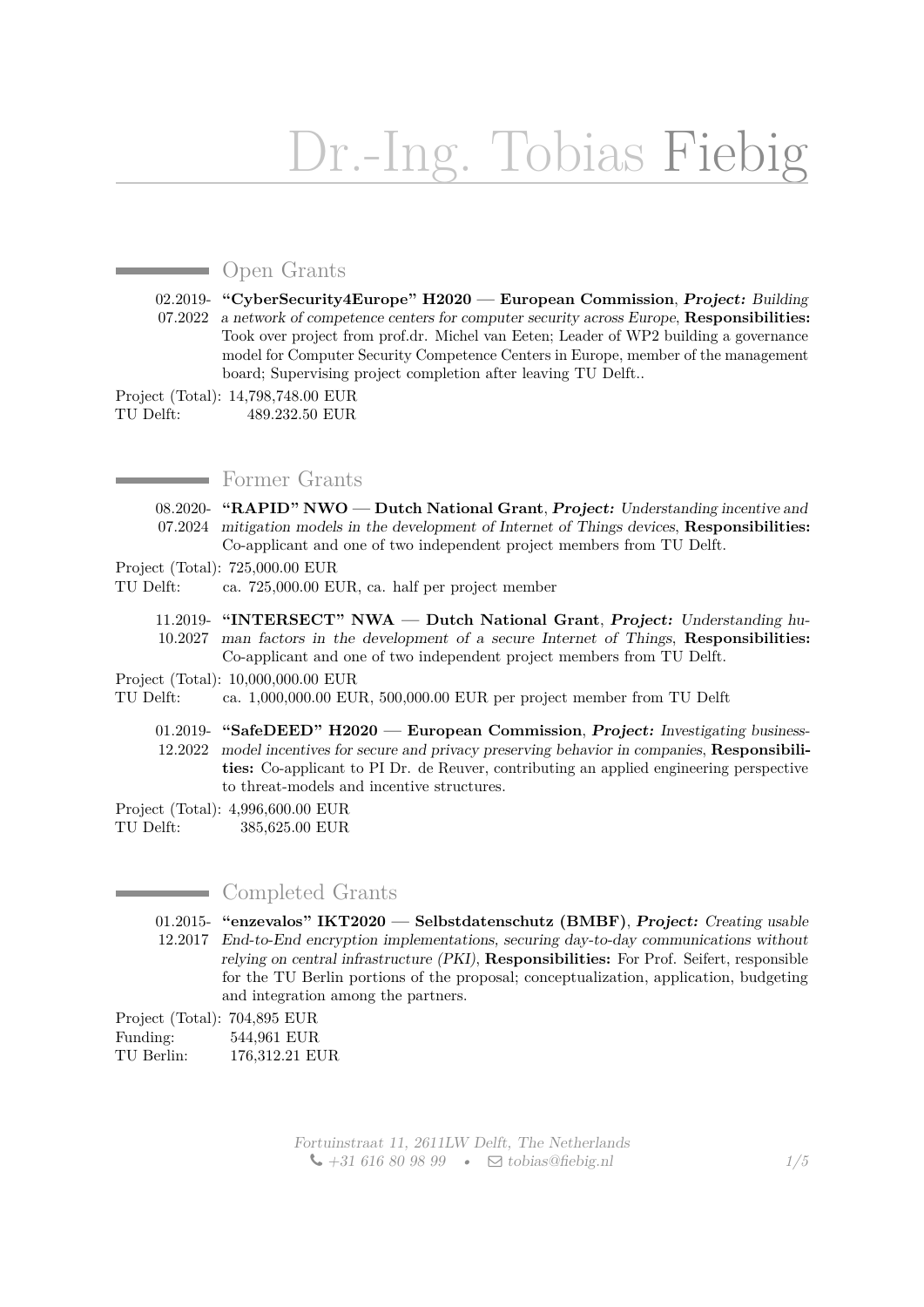# Dr.-Ing. Tobias Fiebig

# **Open Grants**

02.2019- **"CyberSecurity4Europe" H2020 — European Commission**, **Project:** Building 07.2022 a network of competence centers for computer security across Europe, **Responsibilities:** Took over project from prof.dr. Michel van Eeten; Leader of WP2 building a governance model for Computer Security Competence Centers in Europe, member of the management board; Supervising project completion after leaving TU Delft..

Project (Total): 14,798,748.00 EUR TU Delft: 489.232.50 EUR

# **Former Grants**

08.2020- **"RAPID" NWO — Dutch National Grant**, **Project:** Understanding incentive and 07.2024 mitigation models in the development of Internet of Things devices, **Responsibilities:** Co-applicant and one of two independent project members from TU Delft.

#### Project (Total): 725,000.00 EUR

TU Delft: ca. 725,000.00 EUR, ca. half per project member

- 11.2019- **"INTERSECT" NWA Dutch National Grant**, **Project:** Understanding hu-10.2027 man factors in the development of a secure Internet of Things, **Responsibilities:** Co-applicant and one of two independent project members from TU Delft.
- Project (Total): 10,000,000.00 EUR
- TU Delft: ca. 1,000,000.00 EUR, 500,000.00 EUR per project member from TU Delft
	- 01.2019- **"SafeDEED" H2020 European Commission**, **Project:** Investigating business-12.2022 model incentives for secure and privacy preserving behavior in companies, **Responsibilities:** Co-applicant to PI Dr. de Reuver, contributing an applied engineering perspective to threat-models and incentive structures.
- Project (Total): 4,996,600.00 EUR
- TU Delft: 385,625.00 EUR

## **Completed Grants**

01.2015- **"enzevalos" IKT2020 — Selbstdatenschutz (BMBF)**, **Project:** Creating usable 12.2017 End-to-End encryption implementations, securing day-to-day communications without relying on central infrastructure (PKI), **Responsibilities:** For Prof. Seifert, responsible for the TU Berlin portions of the proposal; conceptualization, application, budgeting and integration among the partners.

Project (Total): 704,895 EUR

Funding: 544,961 EUR TU Berlin: 176,312.21 EUR

> Fortuinstraat 11, 2611LW Delft, The Netherlands  $\bigcup$  +31 616 80 98 99 •  $\Box$  [tobias@fiebig.nl](mailto:tobias@fiebig.nl) *1[/5](#page-4-0)*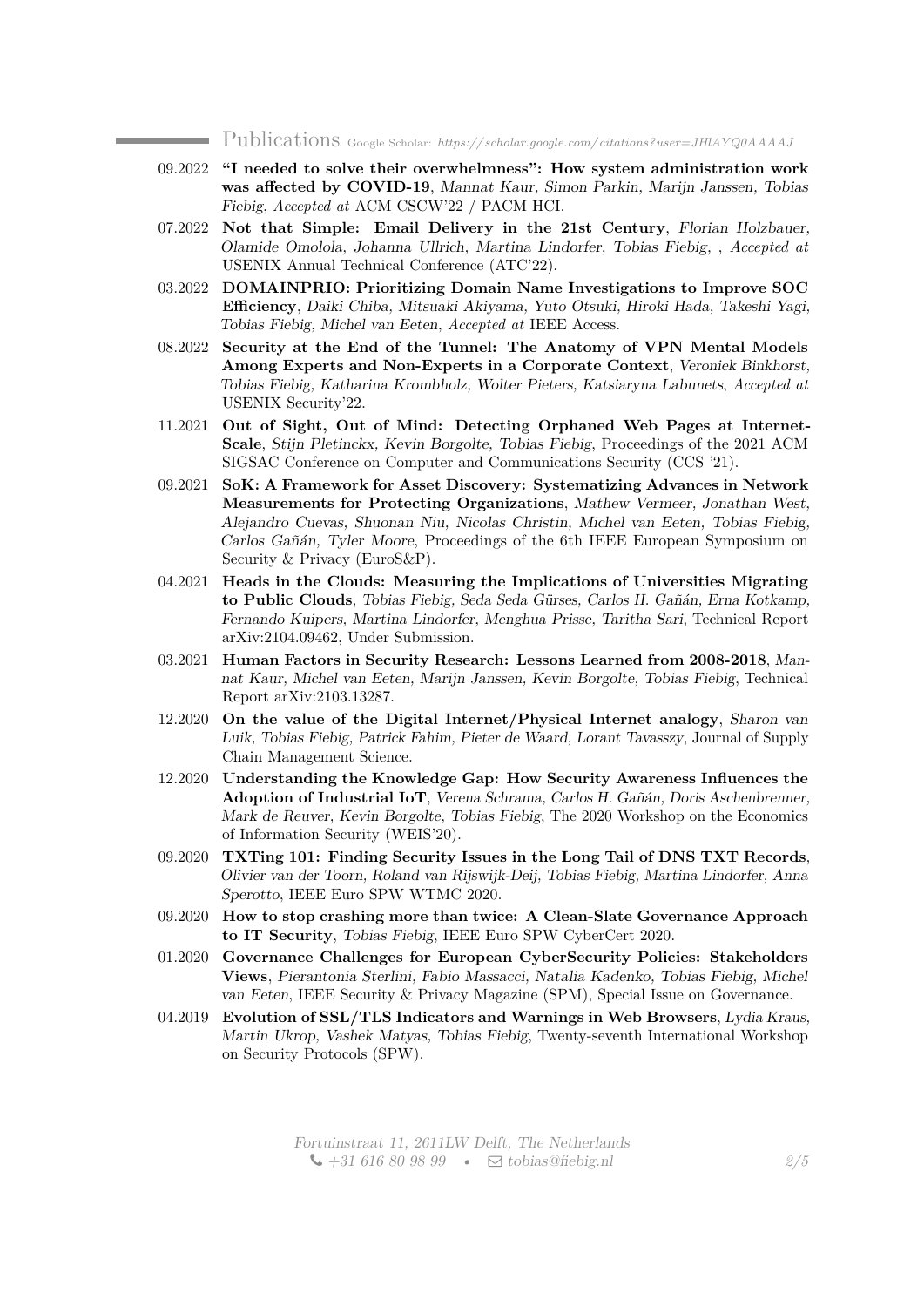Publications Google Scholar: *[https:// scholar.google.com/ citations?user=JHlAYQ0AAAAJ](https://scholar.google.com/citations?user=JHlAYQ0AAAAJ)*

- 09.2022 **"I needed to solve their overwhelmness": How system administration work was affected by COVID-19**, Mannat Kaur, Simon Parkin, Marijn Janssen, Tobias Fiebig, *Accepted at* ACM CSCW'22 / PACM HCI.
- 07.2022 **Not that Simple: Email Delivery in the 21st Century**, Florian Holzbauer, Olamide Omolola, Johanna Ullrich, Martina Lindorfer, Tobias Fiebig, , *Accepted at* USENIX Annual Technical Conference (ATC'22).
- 03.2022 **DOMAINPRIO: Prioritizing Domain Name Investigations to Improve SOC Efficiency**, Daiki Chiba, Mitsuaki Akiyama, Yuto Otsuki, Hiroki Hada, Takeshi Yagi, Tobias Fiebig, Michel van Eeten, *Accepted at* IEEE Access.
- 08.2022 **Security at the End of the Tunnel: The Anatomy of VPN Mental Models Among Experts and Non-Experts in a Corporate Context**, Veroniek Binkhorst, Tobias Fiebig, Katharina Krombholz, Wolter Pieters, Katsiaryna Labunets, *Accepted at* USENIX Security'22.
- 11.2021 **Out of Sight, Out of Mind: Detecting Orphaned Web Pages at Internet-Scale**, Stijn Pletinckx, Kevin Borgolte, Tobias Fiebig, Proceedings of the 2021 ACM SIGSAC Conference on Computer and Communications Security (CCS '21).
- 09.2021 **SoK: A Framework for Asset Discovery: Systematizing Advances in Network Measurements for Protecting Organizations**, Mathew Vermeer, Jonathan West, Alejandro Cuevas, Shuonan Niu, Nicolas Christin, Michel van Eeten, Tobias Fiebig, Carlos Gañán, Tyler Moore, Proceedings of the 6th IEEE European Symposium on Security & Privacy (EuroS&P).
- 04.2021 **Heads in the Clouds: Measuring the Implications of Universities Migrating to Public Clouds**, Tobias Fiebig, Seda Seda Gürses, Carlos H. Gañán, Erna Kotkamp, Fernando Kuipers, Martina Lindorfer, Menghua Prisse, Taritha Sari, Technical Report arXiv:2104.09462, Under Submission.
- 03.2021 **Human Factors in Security Research: Lessons Learned from 2008-2018**, Mannat Kaur, Michel van Eeten, Marijn Janssen, Kevin Borgolte, Tobias Fiebig, Technical Report arXiv:2103.13287.
- 12.2020 **On the value of the Digital Internet/Physical Internet analogy**, Sharon van Luik, Tobias Fiebig, Patrick Fahim, Pieter de Waard, Lorant Tavasszy, Journal of Supply Chain Management Science.
- 12.2020 **Understanding the Knowledge Gap: How Security Awareness Influences the Adoption of Industrial IoT**, Verena Schrama, Carlos H. Gañán, Doris Aschenbrenner, Mark de Reuver, Kevin Borgolte, Tobias Fiebig, The 2020 Workshop on the Economics of Information Security (WEIS'20).
- 09.2020 **TXTing 101: Finding Security Issues in the Long Tail of DNS TXT Records**, Olivier van der Toorn, Roland van Rijswijk-Deij, Tobias Fiebig, Martina Lindorfer, Anna Sperotto, IEEE Euro SPW WTMC 2020.
- 09.2020 **How to stop crashing more than twice: A Clean-Slate Governance Approach to IT Security**, Tobias Fiebig, IEEE Euro SPW CyberCert 2020.
- 01.2020 **Governance Challenges for European CyberSecurity Policies: Stakeholders Views**, Pierantonia Sterlini, Fabio Massacci, Natalia Kadenko, Tobias Fiebig, Michel van Eeten, IEEE Security & Privacy Magazine (SPM), Special Issue on Governance.
- 04.2019 **Evolution of SSL/TLS Indicators and Warnings in Web Browsers**, Lydia Kraus, Martin Ukrop, Vashek Matyas, Tobias Fiebig, Twenty-seventh International Workshop on Security Protocols (SPW).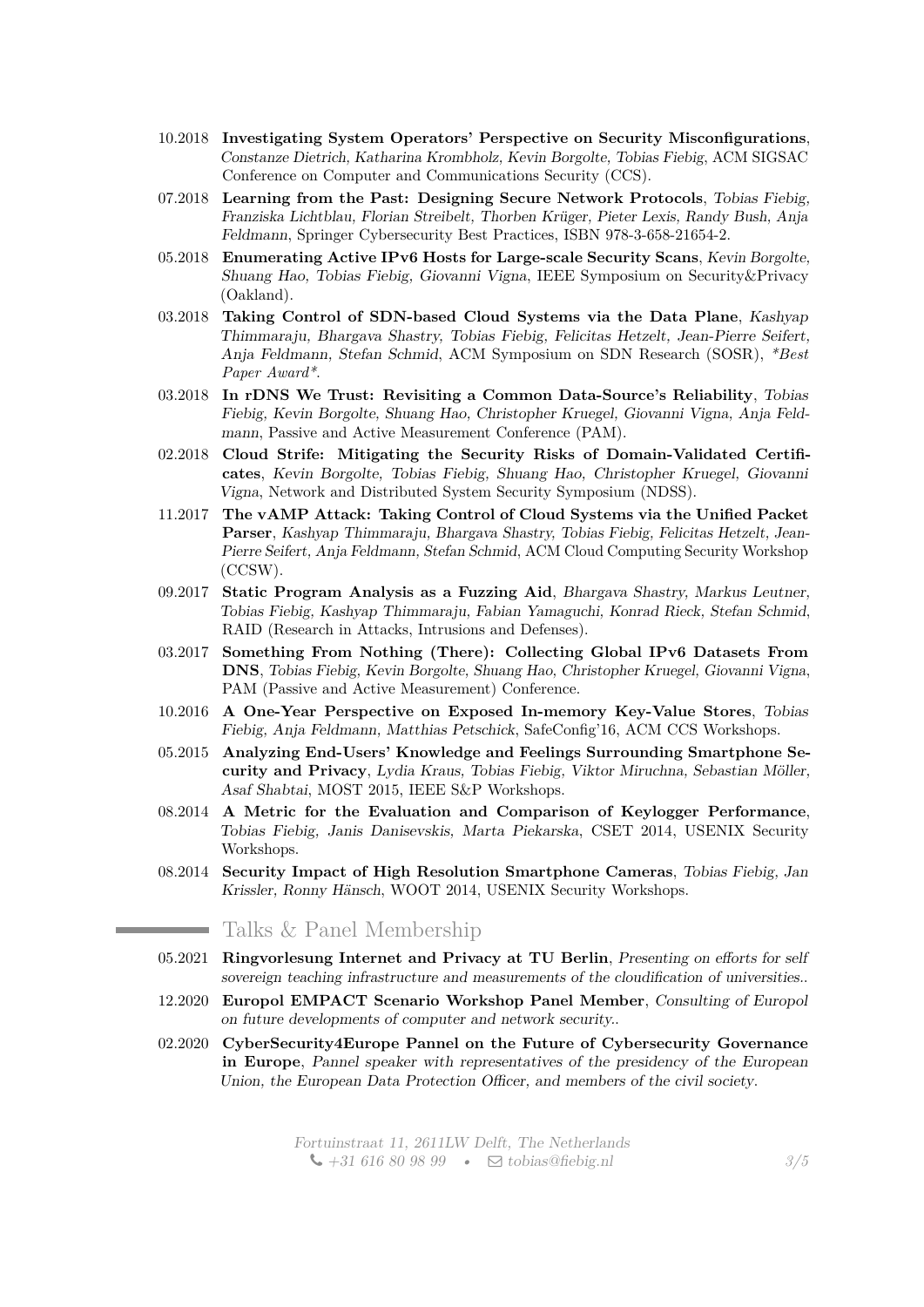- 10.2018 **Investigating System Operators' Perspective on Security Misconfigurations**, Constanze Dietrich, Katharina Krombholz, Kevin Borgolte, Tobias Fiebig, ACM SIGSAC Conference on Computer and Communications Security (CCS).
- 07.2018 **Learning from the Past: Designing Secure Network Protocols**, Tobias Fiebig, Franziska Lichtblau, Florian Streibelt, Thorben Krüger, Pieter Lexis, Randy Bush, Anja Feldmann, Springer Cybersecurity Best Practices, ISBN 978-3-658-21654-2.
- 05.2018 **Enumerating Active IPv6 Hosts for Large-scale Security Scans**, Kevin Borgolte, Shuang Hao, Tobias Fiebig, Giovanni Vigna, IEEE Symposium on Security&Privacy (Oakland).
- 03.2018 **Taking Control of SDN-based Cloud Systems via the Data Plane**, Kashyap Thimmaraju, Bhargava Shastry, Tobias Fiebig, Felicitas Hetzelt, Jean-Pierre Seifert, Anja Feldmann, Stefan Schmid, ACM Symposium on SDN Research (SOSR), *\*Best Paper Award\**.
- 03.2018 **In rDNS We Trust: Revisiting a Common Data-Source's Reliability**, Tobias Fiebig, Kevin Borgolte, Shuang Hao, Christopher Kruegel, Giovanni Vigna, Anja Feldmann, Passive and Active Measurement Conference (PAM).
- 02.2018 **Cloud Strife: Mitigating the Security Risks of Domain-Validated Certificates**, Kevin Borgolte, Tobias Fiebig, Shuang Hao, Christopher Kruegel, Giovanni Vigna, Network and Distributed System Security Symposium (NDSS).
- 11.2017 **The vAMP Attack: Taking Control of Cloud Systems via the Unified Packet Parser**, Kashyap Thimmaraju, Bhargava Shastry, Tobias Fiebig, Felicitas Hetzelt, Jean-Pierre Seifert, Anja Feldmann, Stefan Schmid, ACM Cloud Computing Security Workshop (CCSW).
- 09.2017 **Static Program Analysis as a Fuzzing Aid**, Bhargava Shastry, Markus Leutner, Tobias Fiebig, Kashyap Thimmaraju, Fabian Yamaguchi, Konrad Rieck, Stefan Schmid, RAID (Research in Attacks, Intrusions and Defenses).
- 03.2017 **Something From Nothing (There): Collecting Global IPv6 Datasets From DNS**, Tobias Fiebig, Kevin Borgolte, Shuang Hao, Christopher Kruegel, Giovanni Vigna, PAM (Passive and Active Measurement) Conference.
- 10.2016 **A One-Year Perspective on Exposed In-memory Key-Value Stores**, Tobias Fiebig, Anja Feldmann, Matthias Petschick, SafeConfig'16, ACM CCS Workshops.
- 05.2015 **Analyzing End-Users' Knowledge and Feelings Surrounding Smartphone Security and Privacy**, Lydia Kraus, Tobias Fiebig, Viktor Miruchna, Sebastian Möller, Asaf Shabtai, MOST 2015, IEEE S&P Workshops.
- 08.2014 **A Metric for the Evaluation and Comparison of Keylogger Performance**, Tobias Fiebig, Janis Danisevskis, Marta Piekarska, CSET 2014, USENIX Security Workshops.
- 08.2014 **Security Impact of High Resolution Smartphone Cameras**, Tobias Fiebig, Jan Krissler, Ronny Hänsch, WOOT 2014, USENIX Security Workshops.

## Talks & Panel Membership

**Service** 

- 05.2021 **Ringvorlesung Internet and Privacy at TU Berlin**, Presenting on efforts for self sovereign teaching infrastructure and measurements of the cloudification of universities..
- 12.2020 **Europol EMPACT Scenario Workshop Panel Member**, Consulting of Europol on future developments of computer and network security..
- 02.2020 **CyberSecurity4Europe Pannel on the Future of Cybersecurity Governance in Europe**, Pannel speaker with representatives of the presidency of the European Union, the European Data Protection Officer, and members of the civil society.

Fortuinstraat 11, 2611LW Delft, The Netherlands  $\bigcup$  +31 616 80 98 99 •  $\Box$  [tobias@fiebig.nl](mailto:tobias@fiebig.nl)  $3/5$  $3/5$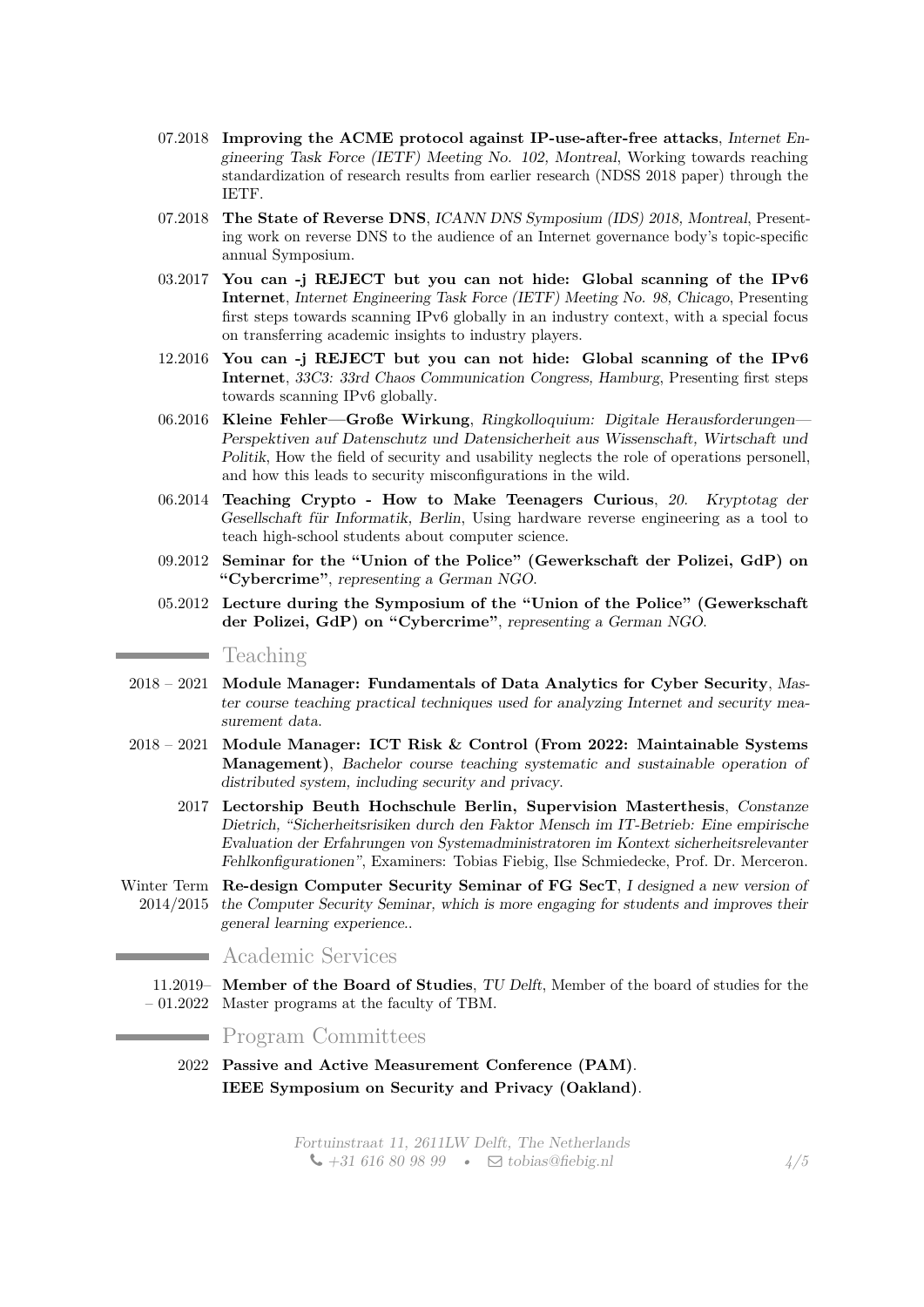- 07.2018 **Improving the ACME protocol against IP-use-after-free attacks**, Internet Engineering Task Force (IETF) Meeting No. 102, Montreal, Working towards reaching standardization of research results from earlier research (NDSS 2018 paper) through the IETF.
- 07.2018 **The State of Reverse DNS**, *ICANN DNS Symposium (IDS)* 2018, *Montreal*, Presenting work on reverse DNS to the audience of an Internet governance body's topic-specific annual Symposium.
- 03.2017 **You can -j REJECT but you can not hide: Global scanning of the IPv6 Internet**, Internet Engineering Task Force (IETF) Meeting No. 98, Chicago, Presenting first steps towards scanning IPv6 globally in an industry context, with a special focus on transferring academic insights to industry players.
- 12.2016 **You can -j REJECT but you can not hide: Global scanning of the IPv6 Internet**, 33C3: 33rd Chaos Communication Congress, Hamburg, Presenting first steps towards scanning IPv6 globally.
- 06.2016 **Kleine Fehler—Große Wirkung**, Ringkolloquium: Digitale Herausforderungen— Perspektiven auf Datenschutz und Datensicherheit aus Wissenschaft, Wirtschaft und Politik, How the field of security and usability neglects the role of operations personell, and how this leads to security misconfigurations in the wild.
- 06.2014 **Teaching Crypto How to Make Teenagers Curious**, 20. Kryptotag der Gesellschaft für Informatik, Berlin, Using hardware reverse engineering as a tool to teach high-school students about computer science.
- 09.2012 **Seminar for the "Union of the Police" (Gewerkschaft der Polizei, GdP) on "Cybercrime"**, representing a German NGO.
- 05.2012 **Lecture during the Symposium of the "Union of the Police" (Gewerkschaft der Polizei, GdP) on "Cybercrime"**, representing a German NGO.

Teaching

- 2018 2021 **Module Manager: Fundamentals of Data Analytics for Cyber Security**, Master course teaching practical techniques used for analyzing Internet and security measurement data.
- 2018 2021 **Module Manager: ICT Risk & Control (From 2022: Maintainable Systems Management)**, Bachelor course teaching systematic and sustainable operation of distributed system, including security and privacy.
	- 2017 **Lectorship Beuth Hochschule Berlin, Supervision Masterthesis**, Constanze Dietrich, "Sicherheitsrisiken durch den Faktor Mensch im IT-Betrieb: Eine empirische Evaluation der Erfahrungen von Systemadministratoren im Kontext sicherheitsrelevanter Fehlkonfigurationen", Examiners: Tobias Fiebig, Ilse Schmiedecke, Prof. Dr. Merceron.
- Winter Term **Re-design Computer Security Seminar of FG SecT**, I designed a new version of 2014/2015 the Computer Security Seminar, which is more engaging for students and improves their general learning experience..

## Academic Services

11.2019– **Member of the Board of Studies**, TU Delft, Member of the board of studies for the – 01.2022 Master programs at the faculty of TBM.

### Program Committees

2022 **Passive and Active Measurement Conference (PAM)**. **IEEE Symposium on Security and Privacy (Oakland)**.

> Fortuinstraat 11, 2611LW Delft, The Netherlands  $\bigcup$  +31 616 80 98 99 •  $\Box$  [tobias@fiebig.nl](mailto:tobias@fiebig.nl)  $\frac{4}{5}$